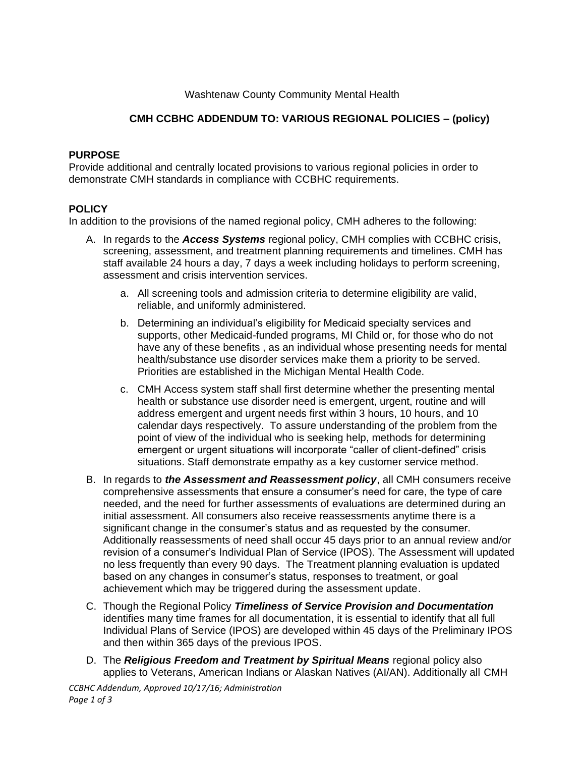### Washtenaw County Community Mental Health

## **CMH CCBHC ADDENDUM TO: VARIOUS REGIONAL POLICIES – (policy)**

### **PURPOSE**

Provide additional and centrally located provisions to various regional policies in order to demonstrate CMH standards in compliance with CCBHC requirements.

### **POLICY**

In addition to the provisions of the named regional policy, CMH adheres to the following:

- A. In regards to the *Access Systems* regional policy, CMH complies with CCBHC crisis, screening, assessment, and treatment planning requirements and timelines. CMH has staff available 24 hours a day, 7 days a week including holidays to perform screening, assessment and crisis intervention services.
	- a. All screening tools and admission criteria to determine eligibility are valid, reliable, and uniformly administered.
	- b. Determining an individual's eligibility for Medicaid specialty services and supports, other Medicaid-funded programs, MI Child or, for those who do not have any of these benefits , as an individual whose presenting needs for mental health/substance use disorder services make them a priority to be served. Priorities are established in the Michigan Mental Health Code.
	- c. CMH Access system staff shall first determine whether the presenting mental health or substance use disorder need is emergent, urgent, routine and will address emergent and urgent needs first within 3 hours, 10 hours, and 10 calendar days respectively. To assure understanding of the problem from the point of view of the individual who is seeking help, methods for determining emergent or urgent situations will incorporate "caller of client-defined" crisis situations. Staff demonstrate empathy as a key customer service method.
- B. In regards to *the Assessment and Reassessment policy*, all CMH consumers receive comprehensive assessments that ensure a consumer's need for care, the type of care needed, and the need for further assessments of evaluations are determined during an initial assessment. All consumers also receive reassessments anytime there is a significant change in the consumer's status and as requested by the consumer. Additionally reassessments of need shall occur 45 days prior to an annual review and/or revision of a consumer's Individual Plan of Service (IPOS). The Assessment will updated no less frequently than every 90 days. The Treatment planning evaluation is updated based on any changes in consumer's status, responses to treatment, or goal achievement which may be triggered during the assessment update.
- C. Though the Regional Policy *Timeliness of Service Provision and Documentation* identifies many time frames for all documentation, it is essential to identify that all full Individual Plans of Service (IPOS) are developed within 45 days of the Preliminary IPOS and then within 365 days of the previous IPOS.
- D. The *Religious Freedom and Treatment by Spiritual Means* regional policy also applies to Veterans, American Indians or Alaskan Natives (AI/AN). Additionally all CMH

*CCBHC Addendum, Approved 10/17/16; Administration Page 1 of 3*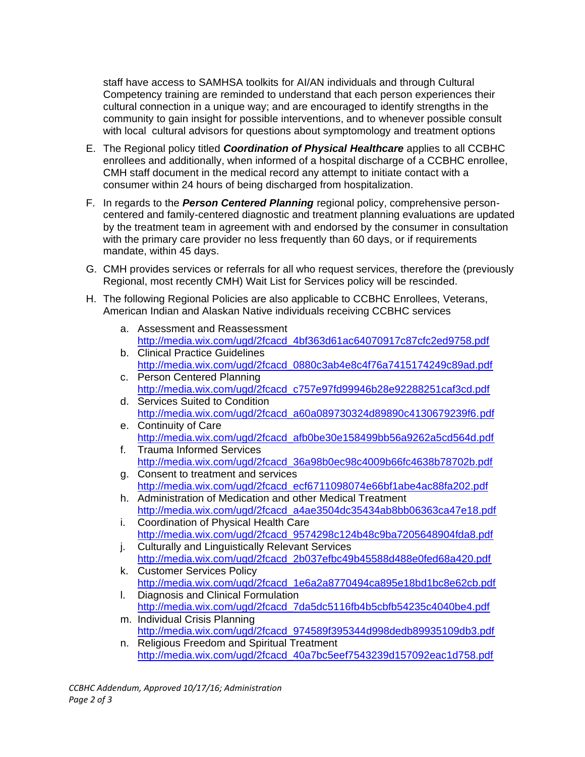staff have access to SAMHSA toolkits for AI/AN individuals and through Cultural Competency training are reminded to understand that each person experiences their cultural connection in a unique way; and are encouraged to identify strengths in the community to gain insight for possible interventions, and to whenever possible consult with local cultural advisors for questions about symptomology and treatment options

- E. The Regional policy titled *Coordination of Physical Healthcare* applies to all CCBHC enrollees and additionally, when informed of a hospital discharge of a CCBHC enrollee, CMH staff document in the medical record any attempt to initiate contact with a consumer within 24 hours of being discharged from hospitalization.
- F. In regards to the *Person Centered Planning* regional policy, comprehensive personcentered and family-centered diagnostic and treatment planning evaluations are updated by the treatment team in agreement with and endorsed by the consumer in consultation with the primary care provider no less frequently than 60 days, or if requirements mandate, within 45 days.
- G. CMH provides services or referrals for all who request services, therefore the (previously Regional, most recently CMH) Wait List for Services policy will be rescinded.
- H. The following Regional Policies are also applicable to CCBHC Enrollees, Veterans, American Indian and Alaskan Native individuals receiving CCBHC services
	- a. Assessment and Reassessment [http://media.wix.com/ugd/2fcacd\\_4bf363d61ac64070917c87cfc2ed9758.pdf](http://media.wix.com/ugd/2fcacd_4bf363d61ac64070917c87cfc2ed9758.pdf)
	- b. Clinical Practice Guidelines [http://media.wix.com/ugd/2fcacd\\_0880c3ab4e8c4f76a7415174249c89ad.pdf](http://media.wix.com/ugd/2fcacd_0880c3ab4e8c4f76a7415174249c89ad.pdf)
	- c. Person Centered Planning [http://media.wix.com/ugd/2fcacd\\_c757e97fd99946b28e92288251caf3cd.pdf](http://media.wix.com/ugd/2fcacd_c757e97fd99946b28e92288251caf3cd.pdf) d. Services Suited to Condition
	- [http://media.wix.com/ugd/2fcacd\\_a60a089730324d89890c4130679239f6.pdf](http://media.wix.com/ugd/2fcacd_a60a089730324d89890c4130679239f6.pdf) e. Continuity of Care
	- [http://media.wix.com/ugd/2fcacd\\_afb0be30e158499bb56a9262a5cd564d.pdf](http://media.wix.com/ugd/2fcacd_afb0be30e158499bb56a9262a5cd564d.pdf)
	- f. Trauma Informed Services [http://media.wix.com/ugd/2fcacd\\_36a98b0ec98c4009b66fc4638b78702b.pdf](http://media.wix.com/ugd/2fcacd_36a98b0ec98c4009b66fc4638b78702b.pdf)
	- g. Consent to treatment and services [http://media.wix.com/ugd/2fcacd\\_ecf6711098074e66bf1abe4ac88fa202.pdf](http://media.wix.com/ugd/2fcacd_ecf6711098074e66bf1abe4ac88fa202.pdf)
	- h. Administration of Medication and other Medical Treatment [http://media.wix.com/ugd/2fcacd\\_a4ae3504dc35434ab8bb06363ca47e18.pdf](http://media.wix.com/ugd/2fcacd_a4ae3504dc35434ab8bb06363ca47e18.pdf)
	- i. Coordination of Physical Health Care [http://media.wix.com/ugd/2fcacd\\_9574298c124b48c9ba7205648904fda8.pdf](http://media.wix.com/ugd/2fcacd_9574298c124b48c9ba7205648904fda8.pdf)
	- j. Culturally and Linguistically Relevant Services [http://media.wix.com/ugd/2fcacd\\_2b037efbc49b45588d488e0fed68a420.pdf](http://media.wix.com/ugd/2fcacd_2b037efbc49b45588d488e0fed68a420.pdf)
	- k. Customer Services Policy [http://media.wix.com/ugd/2fcacd\\_1e6a2a8770494ca895e18bd1bc8e62cb.pdf](http://media.wix.com/ugd/2fcacd_1e6a2a8770494ca895e18bd1bc8e62cb.pdf)
	- l. Diagnosis and Clinical Formulation [http://media.wix.com/ugd/2fcacd\\_7da5dc5116fb4b5cbfb54235c4040be4.pdf](http://media.wix.com/ugd/2fcacd_7da5dc5116fb4b5cbfb54235c4040be4.pdf)
	- m. Individual Crisis Planning [http://media.wix.com/ugd/2fcacd\\_974589f395344d998dedb89935109db3.pdf](http://media.wix.com/ugd/2fcacd_974589f395344d998dedb89935109db3.pdf) n. Religious Freedom and Spiritual Treatment
	- [http://media.wix.com/ugd/2fcacd\\_40a7bc5eef7543239d157092eac1d758.pdf](http://media.wix.com/ugd/2fcacd_40a7bc5eef7543239d157092eac1d758.pdf)